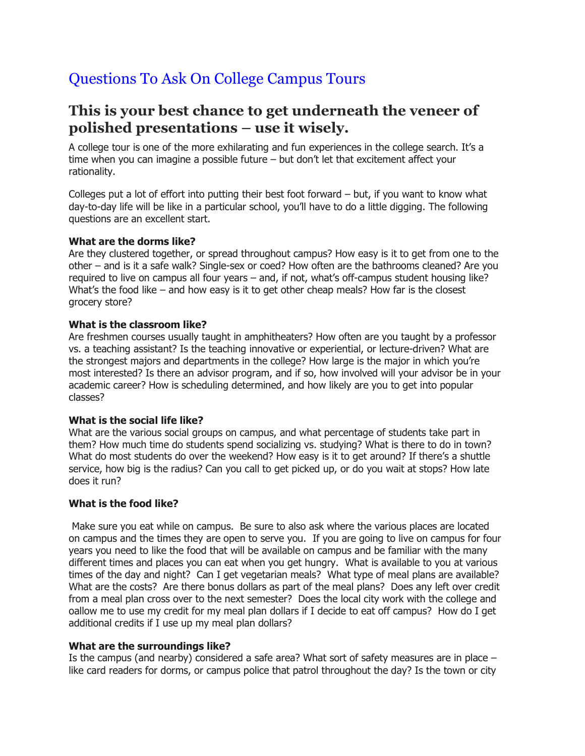# Questions To Ask On College Campus Tours

# **This is your best chance to get underneath the veneer of polished presentations – use it wisely.**

A college tour is one of the more exhilarating and fun experiences in the college search. It's a time when you can imagine a possible future – but don't let that excitement affect your rationality.

Colleges put a lot of effort into putting their best foot forward – but, if you want to know what day-to-day life will be like in a particular school, you'll have to do a little digging. The following questions are an excellent start.

## **What are the dorms like?**

Are they clustered together, or spread throughout campus? How easy is it to get from one to the other – and is it a safe walk? Single-sex or coed? How often are the bathrooms cleaned? Are you required to live on campus all four years – and, if not, what's off-campus student housing like? What's the food like  $-$  and how easy is it to get other cheap meals? How far is the closest grocery store?

## **What is the classroom like?**

Are freshmen courses usually taught in amphitheaters? How often are you taught by a professor vs. a teaching assistant? Is the teaching innovative or experiential, or lecture-driven? What are the strongest majors and departments in the college? How large is the major in which you're most interested? Is there an advisor program, and if so, how involved will your advisor be in your academic career? How is scheduling determined, and how likely are you to get into popular classes?

#### **What is the social life like?**

What are the various social groups on campus, and what percentage of students take part in them? How much time do students spend socializing vs. studying? What is there to do in town? What do most students do over the weekend? How easy is it to get around? If there's a shuttle service, how big is the radius? Can you call to get picked up, or do you wait at stops? How late does it run?

#### **What is the food like?**

Make sure you eat while on campus. Be sure to also ask where the various places are located on campus and the times they are open to serve you. If you are going to live on campus for four years you need to like the food that will be available on campus and be familiar with the many different times and places you can eat when you get hungry. What is available to you at various times of the day and night? Can I get vegetarian meals? What type of meal plans are available? What are the costs? Are there bonus dollars as part of the meal plans? Does any left over credit from a meal plan cross over to the next semester? Does the local city work with the college and oallow me to use my credit for my meal plan dollars if I decide to eat off campus? How do I get additional credits if I use up my meal plan dollars?

#### **What are the surroundings like?**

Is the campus (and nearby) considered a safe area? What sort of safety measures are in place – like card readers for dorms, or campus police that patrol throughout the day? Is the town or city